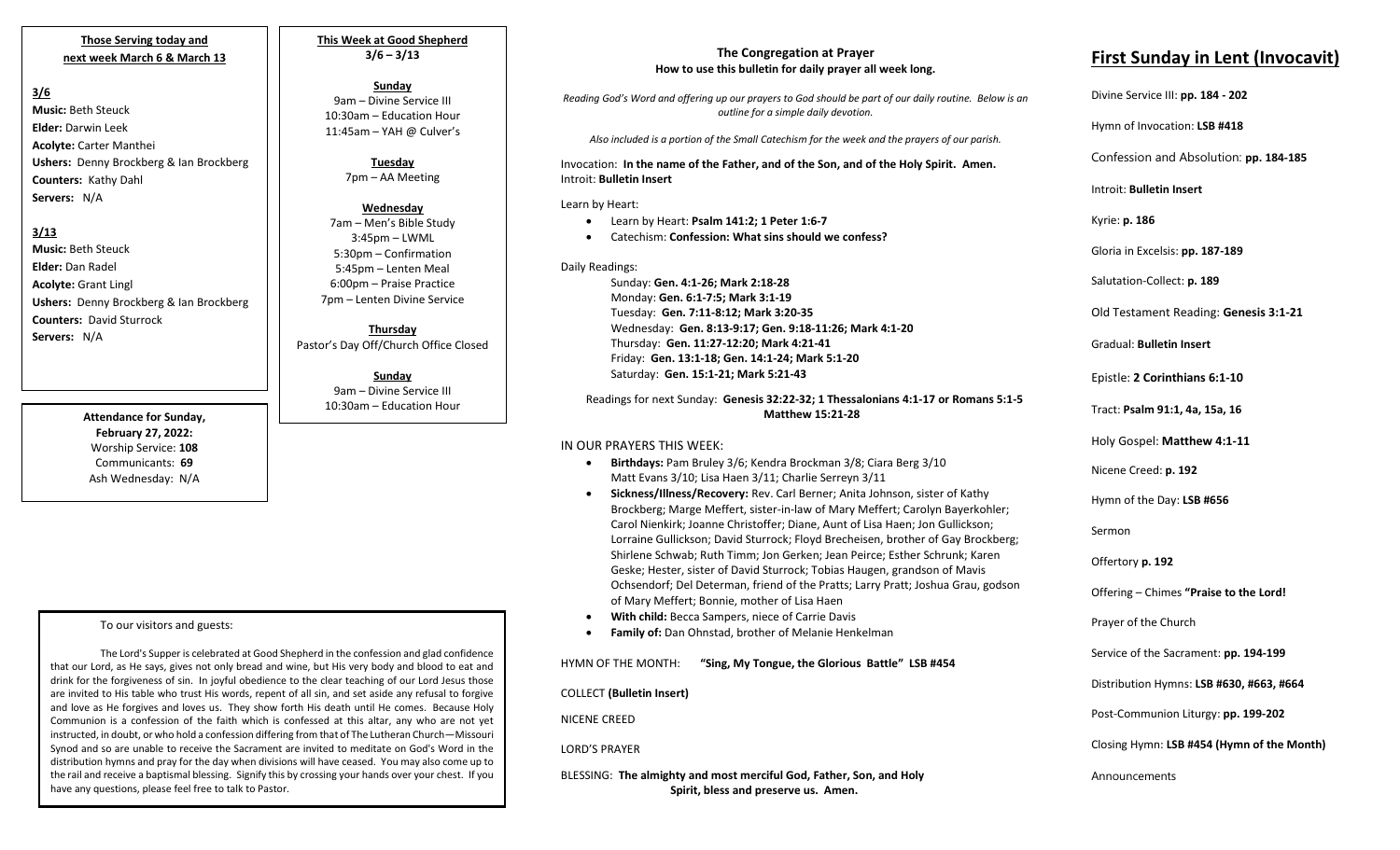### **Those Serving today and next week March 6 & March 13**

## **3/6**

**Music:** Beth Steuck **Elder:** Darwin Leek **Acolyte:** Carter Manthei **Ushers:** Denny Brockberg & Ian Brockberg **Counters:** Kathy Dahl **Servers:** N/A

### **3/13**

**Music:** Beth Steuck **Elder:** Dan Radel **Acolyte:** Grant Lingl **Ushers:** Denny Brockberg & Ian Brockberg **Counters:** David Sturrock **Servers:** N/A

> **Attendance for Sunday, February 27, 2022:** Worship Service: **108** Communicants: **69** Ash Wednesday: N/A

### To our visitors and guests:

 have any questions, please feel free to talk to Pastor. The Lord's Supper is celebrated at Good Shepherd in the confession and glad confidence that our Lord, as He says, gives not only bread and wine, but His very body and blood to eat and drink for the forgiveness of sin. In joyful obedience to the clear teaching of our Lord Jesus those are invited to His table who trust His words, repent of all sin, and set aside any refusal to forgive and love as He forgives and loves us. They show forth His death until He comes. Because Holy Communion is a confession of the faith which is confessed at this altar, any who are not yet instructed, in doubt, or who hold a confession differing from that of The Lutheran Church—Missouri Synod and so are unable to receive the Sacrament are invited to meditate on God's Word in the distribution hymns and pray for the day when divisions will have ceased. You may also come up to the rail and receive a baptismal blessing. Signify this by crossing your hands over your chest. If you

**This Week at Good Shepherd 3/6 – 3/13**

# **Sunday**

9am – Divine Service III 10:30am – Education Hour 11:45am – YAH @ Culver's

> **Tuesday** 7pm – AA Meeting

**Wednesday** 7am – Men's Bible Study 3:45pm – LWML 5:30pm – Confirmation 5:45pm – Lenten Meal 6:00pm – Praise Practice 7pm – Lenten Divine Service

**Thursday** Pastor's Day Off/Church Office Closed

> **Sunday** 9am – Divine Service III 10:30am – Education Hour

#### **The Congregation at Prayer How to use this bulletin for daily prayer all week long.**

*Reading God's Word and offering up our prayers to God should be part of our daily routine. Below is an outline for a simple daily devotion.*

*Also included is a portion of the Small Catechism for the week and the prayers of our parish.*

Invocation: **In the name of the Father, and of the Son, and of the Holy Spirit. Amen.** Introit: **Bulletin Insert**

Learn by Heart:

- Learn by Heart: **Psalm 141:2; 1 Peter 1:6-7**
- Catechism: **Confession: What sins should we confess?**

Daily Readings:

Sunday: **Gen. 4:1-26; Mark 2:18-28** Monday: **Gen. 6:1-7:5; Mark 3:1-19** Tuesday: **Gen. 7:11-8:12; Mark 3:20-35** Wednesday: **Gen. 8:13-9:17; Gen. 9:18-11:26; Mark 4:1-20** Thursday: **Gen. 11:27-12:20; Mark 4:21-41** Friday: **Gen. 13:1-18; Gen. 14:1-24; Mark 5:1-20** Saturday: **Gen. 15:1-21; Mark 5:21-43**

Readings for next Sunday: **Genesis 32:22-32; 1 Thessalonians 4:1-17 or Romans 5:1-5 Matthew 15:21-28**

### IN OUR PRAYERS THIS WEEK:

- **Birthdays:** Pam Bruley 3/6; Kendra Brockman 3/8; Ciara Berg 3/10 Matt Evans 3/10; Lisa Haen 3/11; Charlie Serreyn 3/11
- **Sickness/Illness/Recovery:** Rev. Carl Berner; Anita Johnson, sister of Kathy Brockberg; Marge Meffert, sister-in-law of Mary Meffert; Carolyn Bayerkohler; Carol Nienkirk; Joanne Christoffer; Diane, Aunt of Lisa Haen; Jon Gullickson; Lorraine Gullickson; David Sturrock; Floyd Brecheisen, brother of Gay Brockberg; Shirlene Schwab; Ruth Timm; Jon Gerken; Jean Peirce; Esther Schrunk; Karen Geske; Hester, sister of David Sturrock; Tobias Haugen, grandson of Mavis Ochsendorf; Del Determan, friend of the Pratts; Larry Pratt; Joshua Grau, godson of Mary Meffert; Bonnie, mother of Lisa Haen
- **With child:** Becca Sampers, niece of Carrie Davis
- **Family of:** Dan Ohnstad, brother of Melanie Henkelman

HYMN OF THE MONTH: **"Sing, My Tongue, the Glorious Battle" LSB #454** 

COLLECT **(Bulletin Insert)**

NICENE CREED

LORD'S PRAYER

BLESSING: **The almighty and most merciful God, Father, Son, and Holy Spirit, bless and preserve us. Amen.**

# **First Sunday in Lent (Invocavit)**

Divine Service III: **pp. 184 - 202**

Hymn of Invocation: **LSB #418**

Confession and Absolution: **pp. 184-185**

Introit: **Bulletin Insert** 

Kyrie: **p. 186**

Gloria in Excelsis: **pp. 187-189**

Salutation-Collect: **p. 189**

Old Testament Reading: **Genesis 3:1-21** 

Gradual: **Bulletin Insert**

Epistle: **2 Corinthians 6:1-10**

Tract: **Psalm 91:1, 4a, 15a, 16**

Holy Gospel: **Matthew 4:1-11**

Nicene Creed: **p. 192**

Hymn of the Day: **LSB #656**

Sermon

Offertory **p. 192**

Offering – Chimes **"Praise to the Lord!**

Prayer of the Church

Service of the Sacrament: **pp. 194-199**

Distribution Hymns: **LSB #630, #663, #664**

Post-Communion Liturgy: **pp. 199-202** 

Closing Hymn: **LSB #454 (Hymn of the Month)**

Announcements